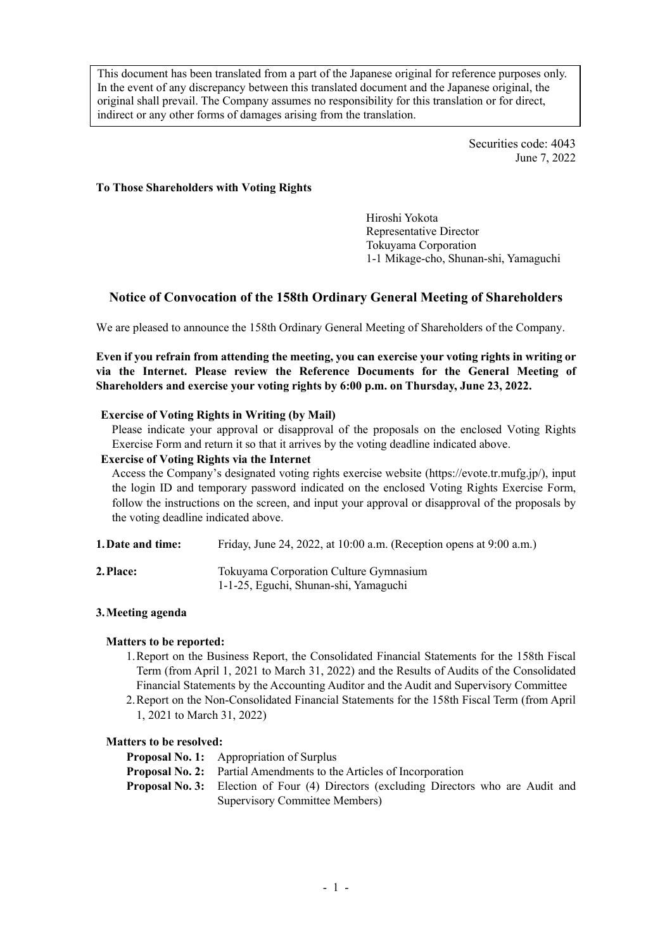This document has been translated from a part of the Japanese original for reference purposes only. In the event of any discrepancy between this translated document and the Japanese original, the original shall prevail. The Company assumes no responsibility for this translation or for direct, indirect or any other forms of damages arising from the translation.

> Securities code: 4043 June 7, 2022

### **To Those Shareholders with Voting Rights**

Hiroshi Yokota Representative Director Tokuyama Corporation 1-1 Mikage-cho, Shunan-shi, Yamaguchi

# **Notice of Convocation of the 158th Ordinary General Meeting of Shareholders**

We are pleased to announce the 158th Ordinary General Meeting of Shareholders of the Company.

**Even if you refrain from attending the meeting, you can exercise your voting rights in writing or via the Internet. Please review the Reference Documents for the General Meeting of Shareholders and exercise your voting rights by 6:00 p.m. on Thursday, June 23, 2022.**

#### **Exercise of Voting Rights in Writing (by Mail)**

Please indicate your approval or disapproval of the proposals on the enclosed Voting Rights Exercise Form and return it so that it arrives by the voting deadline indicated above.

#### **Exercise of Voting Rights via the Internet**

Access the Company's designated voting rights exercise website (https://evote.tr.mufg.jp/), input the login ID and temporary password indicated on the enclosed Voting Rights Exercise Form, follow the instructions on the screen, and input your approval or disapproval of the proposals by the voting deadline indicated above.

| 1. Date and time: | Friday, June 24, 2022, at 10:00 a.m. (Reception opens at 9:00 a.m.) |  |
|-------------------|---------------------------------------------------------------------|--|
|                   |                                                                     |  |

| 2. Place: | Tokuyama Corporation Culture Gymnasium |
|-----------|----------------------------------------|
|           | 1-1-25, Eguchi, Shunan-shi, Yamaguchi  |

## **3.Meeting agenda**

## **Matters to be reported:**

- 1.Report on the Business Report, the Consolidated Financial Statements for the 158th Fiscal Term (from April 1, 2021 to March 31, 2022) and the Results of Audits of the Consolidated Financial Statements by the Accounting Auditor and the Audit and Supervisory Committee
- 2.Report on the Non-Consolidated Financial Statements for the 158th Fiscal Term (from April 1, 2021 to March 31, 2022)

#### **Matters to be resolved:**

- **Proposal No. 1:** Appropriation of Surplus
- **Proposal No. 2:** Partial Amendments to the Articles of Incorporation
- **Proposal No. 3:** Election of Four (4) Directors (excluding Directors who are Audit and Supervisory Committee Members)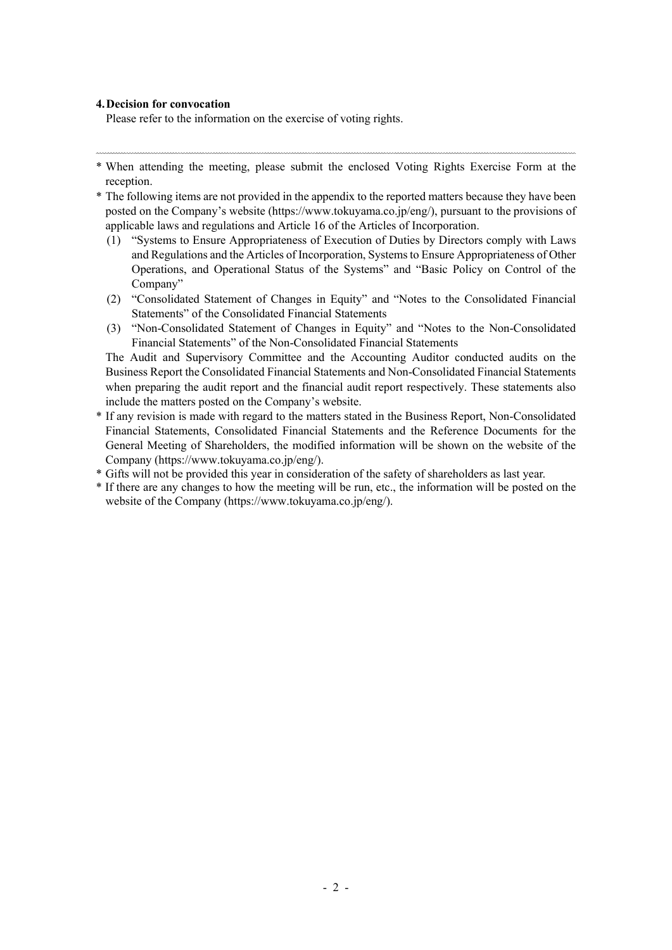#### **4.Decision for convocation**

Please refer to the information on the exercise of voting rights.

- \* When attending the meeting, please submit the enclosed Voting Rights Exercise Form at the reception.
- \* The following items are not provided in the appendix to the reported matters because they have been posted on the Company's website (https://www.tokuyama.co.jp/eng/), pursuant to the provisions of applicable laws and regulations and Article 16 of the Articles of Incorporation.
	- (1) "Systems to Ensure Appropriateness of Execution of Duties by Directors comply with Laws and Regulations and the Articles of Incorporation, Systemsto Ensure Appropriateness of Other Operations, and Operational Status of the Systems" and "Basic Policy on Control of the Company"
	- (2) "Consolidated Statement of Changes in Equity" and "Notes to the Consolidated Financial Statements" of the Consolidated Financial Statements
	- (3) "Non-Consolidated Statement of Changes in Equity" and "Notes to the Non-Consolidated Financial Statements" of the Non-Consolidated Financial Statements

The Audit and Supervisory Committee and the Accounting Auditor conducted audits on the Business Report the Consolidated Financial Statements and Non-Consolidated Financial Statements when preparing the audit report and the financial audit report respectively. These statements also include the matters posted on the Company's website.

- \* If any revision is made with regard to the matters stated in the Business Report, Non-Consolidated Financial Statements, Consolidated Financial Statements and the Reference Documents for the General Meeting of Shareholders, the modified information will be shown on the website of the Company (https://www.tokuyama.co.jp/eng/).
- \* Gifts will not be provided this year in consideration of the safety of shareholders as last year.
- \* If there are any changes to how the meeting will be run, etc., the information will be posted on the website of the Company (https://www.tokuyama.co.jp/eng/).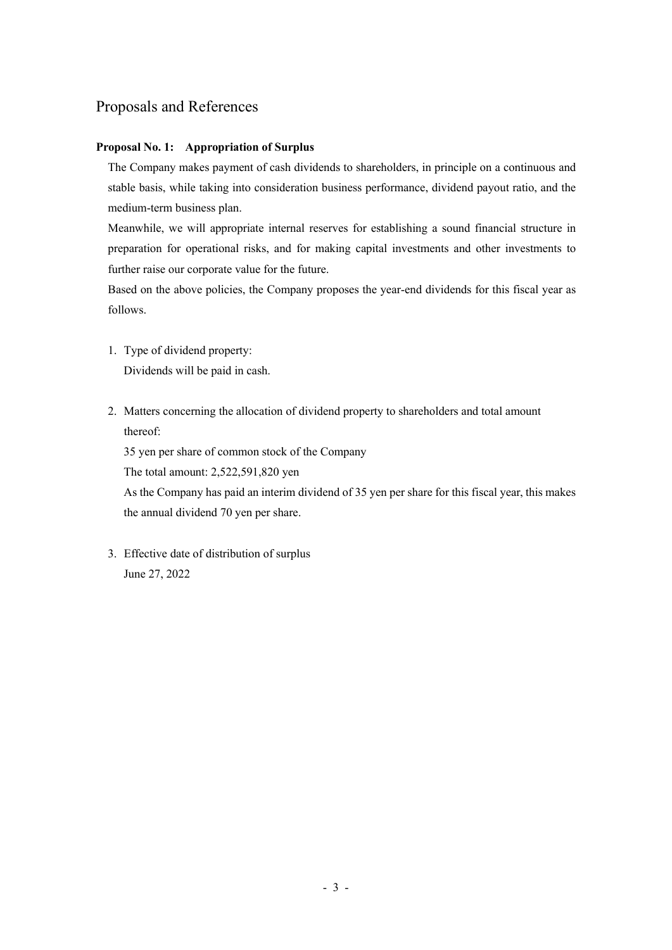# Proposals and References

# **Proposal No. 1: Appropriation of Surplus**

The Company makes payment of cash dividends to shareholders, in principle on a continuous and stable basis, while taking into consideration business performance, dividend payout ratio, and the medium-term business plan.

Meanwhile, we will appropriate internal reserves for establishing a sound financial structure in preparation for operational risks, and for making capital investments and other investments to further raise our corporate value for the future.

Based on the above policies, the Company proposes the year-end dividends for this fiscal year as follows.

- 1. Type of dividend property: Dividends will be paid in cash.
- 2. Matters concerning the allocation of dividend property to shareholders and total amount thereof:

35 yen per share of common stock of the Company

The total amount: 2,522,591,820 yen

As the Company has paid an interim dividend of 35 yen per share for this fiscal year, this makes the annual dividend 70 yen per share.

3. Effective date of distribution of surplus June 27, 2022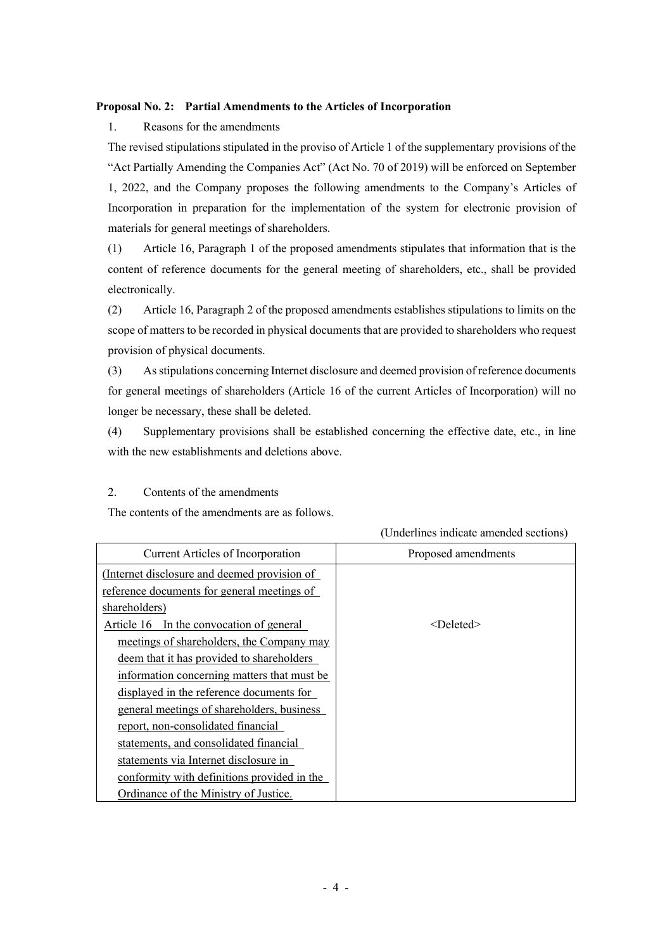## **Proposal No. 2: Partial Amendments to the Articles of Incorporation**

# 1. Reasons for the amendments

The revised stipulations stipulated in the proviso of Article 1 of the supplementary provisions of the "Act Partially Amending the Companies Act" (Act No. 70 of 2019) will be enforced on September 1, 2022, and the Company proposes the following amendments to the Company's Articles of Incorporation in preparation for the implementation of the system for electronic provision of materials for general meetings of shareholders.

(1) Article 16, Paragraph 1 of the proposed amendments stipulates that information that is the content of reference documents for the general meeting of shareholders, etc., shall be provided electronically.

(2) Article 16, Paragraph 2 of the proposed amendments establishes stipulations to limits on the scope of matters to be recorded in physical documents that are provided to shareholders who request provision of physical documents.

(3) Asstipulations concerning Internet disclosure and deemed provision of reference documents for general meetings of shareholders (Article 16 of the current Articles of Incorporation) will no longer be necessary, these shall be deleted.

(4) Supplementary provisions shall be established concerning the effective date, etc., in line with the new establishments and deletions above.

## 2. Contents of the amendments

The contents of the amendments are as follows.

|                                              | (Underlines indicate amended sections) |
|----------------------------------------------|----------------------------------------|
| Current Articles of Incorporation            | Proposed amendments                    |
| (Internet disclosure and deemed provision of |                                        |
| reference documents for general meetings of  |                                        |
| shareholders)                                |                                        |
| Article 16 In the convocation of general     | $<$ Deleted $>$                        |
| meetings of shareholders, the Company may    |                                        |
| deem that it has provided to shareholders    |                                        |
| information concerning matters that must be  |                                        |
| displayed in the reference documents for     |                                        |
| general meetings of shareholders, business   |                                        |
| report, non-consolidated financial           |                                        |
| statements, and consolidated financial       |                                        |
| statements via Internet disclosure in        |                                        |
| conformity with definitions provided in the  |                                        |
| Ordinance of the Ministry of Justice.        |                                        |

 $(1, 1, 1)$  in the amended sections of  $\overline{1, 1}$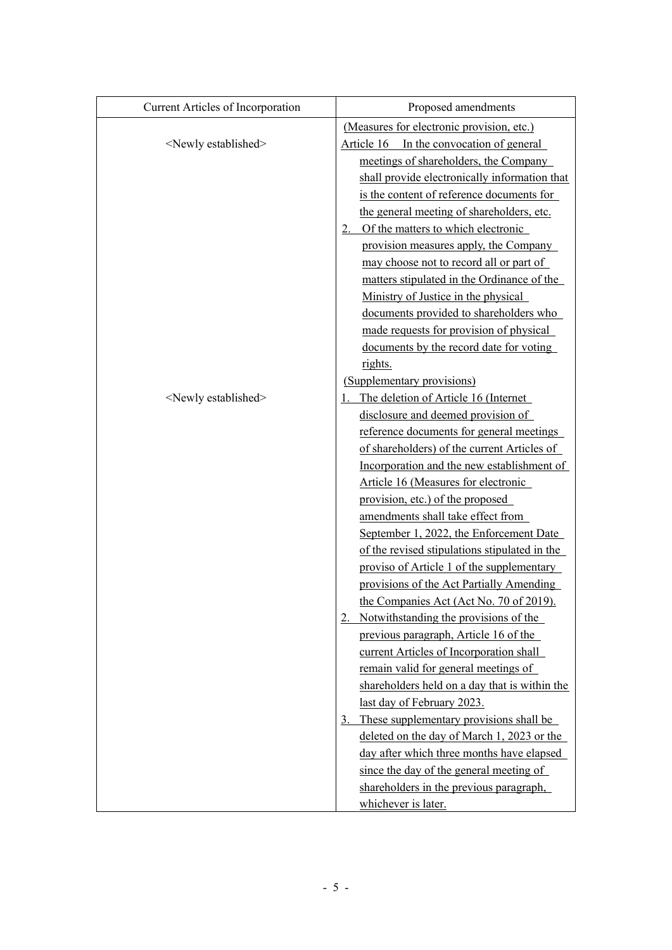| Current Articles of Incorporation | Proposed amendments                           |
|-----------------------------------|-----------------------------------------------|
|                                   | (Measures for electronic provision, etc.)     |
| <newly established=""></newly>    | Article 16 In the convocation of general      |
|                                   | meetings of shareholders, the Company         |
|                                   | shall provide electronically information that |
|                                   | is the content of reference documents for     |
|                                   | the general meeting of shareholders, etc.     |
|                                   | 2. Of the matters to which electronic         |
|                                   | provision measures apply, the Company         |
|                                   | may choose not to record all or part of       |
|                                   | matters stipulated in the Ordinance of the    |
|                                   | Ministry of Justice in the physical           |
|                                   | documents provided to shareholders who        |
|                                   | made requests for provision of physical       |
|                                   | documents by the record date for voting       |
|                                   | rights.                                       |
|                                   | (Supplementary provisions)                    |
| <newly established=""></newly>    | The deletion of Article 16 (Internet          |
|                                   | disclosure and deemed provision of            |
|                                   | reference documents for general meetings      |
|                                   | of shareholders) of the current Articles of   |
|                                   | Incorporation and the new establishment of    |
|                                   | Article 16 (Measures for electronic           |
|                                   | provision, etc.) of the proposed              |
|                                   | amendments shall take effect from             |
|                                   | September 1, 2022, the Enforcement Date       |
|                                   | of the revised stipulations stipulated in the |
|                                   | proviso of Article 1 of the supplementary     |
|                                   | provisions of the Act Partially Amending      |
|                                   | the Companies Act (Act No. 70 of 2019).       |
|                                   | Notwithstanding the provisions of the<br>2.   |
|                                   | previous paragraph, Article 16 of the         |
|                                   | current Articles of Incorporation shall       |
|                                   | remain valid for general meetings of          |
|                                   | shareholders held on a day that is within the |
|                                   | last day of February 2023.                    |
|                                   | These supplementary provisions shall be<br>3. |
|                                   | deleted on the day of March 1, 2023 or the    |
|                                   | day after which three months have elapsed     |
|                                   | since the day of the general meeting of       |
|                                   | shareholders in the previous paragraph,       |
|                                   | whichever is later.                           |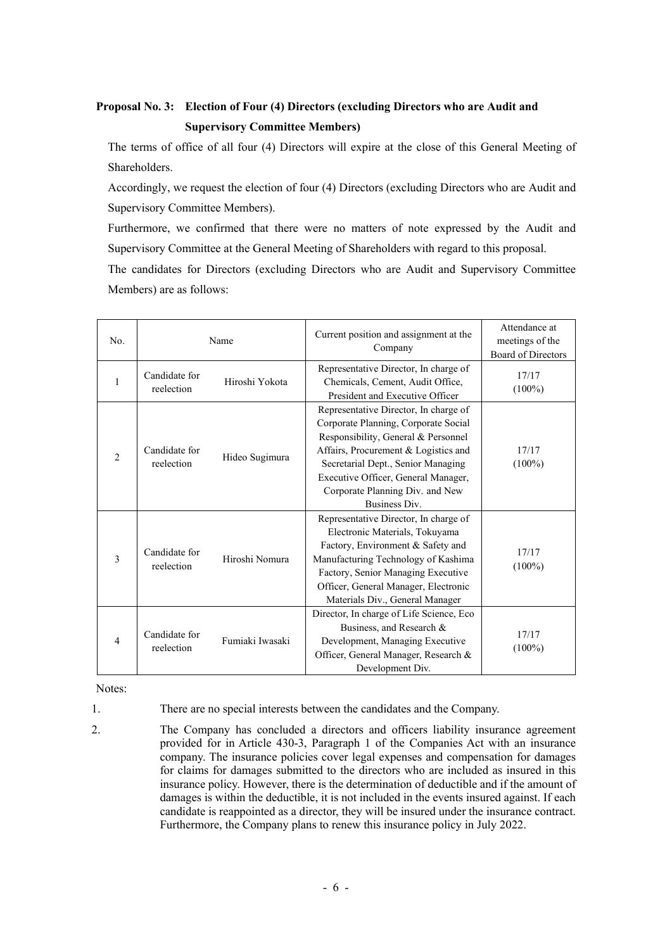# **Proposal No. 3: Election of Four (4) Directors (excluding Directors who are Audit and Supervisory Committee Members)**

The terms of office of all four (4) Directors will expire at the close of this General Meeting of Shareholders.

Accordingly, we request the election of four (4) Directors (excluding Directors who are Audit and Supervisory Committee Members).

Furthermore, we confirmed that there were no matters of note expressed by the Audit and Supervisory Committee at the General Meeting of Shareholders with regard to this proposal.

The candidates for Directors (excluding Directors who are Audit and Supervisory Committee Members) are as follows:

| No.            | Name                                          |                 | Current position and assignment at the<br>Company                                                                                                                                                                                                                                                    | Attendance at<br>meetings of the<br>Board of Directors |
|----------------|-----------------------------------------------|-----------------|------------------------------------------------------------------------------------------------------------------------------------------------------------------------------------------------------------------------------------------------------------------------------------------------------|--------------------------------------------------------|
| $\mathbf{1}$   | Candidate for<br>Hiroshi Yokota<br>reelection |                 | Representative Director, In charge of<br>Chemicals, Cement, Audit Office,<br>President and Executive Officer                                                                                                                                                                                         | 17/17<br>$(100\%)$                                     |
| $\overline{c}$ | Candidate for<br>reelection                   | Hideo Sugimura  | Representative Director, In charge of<br>Corporate Planning, Corporate Social<br>Responsibility, General & Personnel<br>Affairs, Procurement & Logistics and<br>Secretarial Dept., Senior Managing<br>Executive Officer, General Manager,<br>Corporate Planning Div. and New<br><b>Business Div.</b> | 17/17<br>$(100\%)$                                     |
| 3              | Candidate for<br>reelection                   | Hiroshi Nomura  | Representative Director, In charge of<br>Electronic Materials, Tokuyama<br>Factory, Environment & Safety and<br>Manufacturing Technology of Kashima<br>Factory, Senior Managing Executive<br>Officer, General Manager, Electronic<br>Materials Div., General Manager                                 | 17/17<br>$(100\%)$                                     |
| $\overline{4}$ | Candidate for<br>reelection                   | Fumiaki Iwasaki | Director, In charge of Life Science, Eco<br>Business, and Research &<br>Development, Managing Executive<br>Officer, General Manager, Research &<br>Development Div.                                                                                                                                  | 17/17<br>$(100\%)$                                     |

Notes:

1. There are no special interests between the candidates and the Company.

2. The Company has concluded a directors and officers liability insurance agreement provided for in Article 430-3, Paragraph 1 of the Companies Act with an insurance company. The insurance policies cover legal expenses and compensation for damages for claims for damages submitted to the directors who are included as insured in this insurance policy. However, there is the determination of deductible and if the amount of damages is within the deductible, it is not included in the events insured against. If each candidate is reappointed as a director, they will be insured under the insurance contract. Furthermore, the Company plans to renew this insurance policy in July 2022.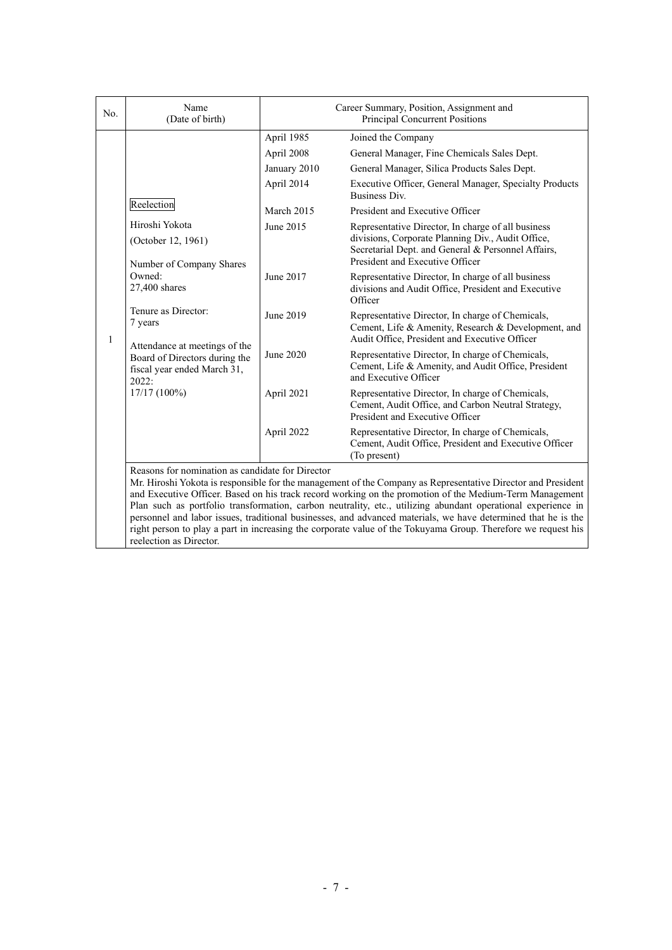| No.          | Name<br>(Date of birth)                                                                                                                                                   | Career Summary, Position, Assignment and<br>Principal Concurrent Positions                                                                                                                                              |                                                                                                                                                          |  |  |  |
|--------------|---------------------------------------------------------------------------------------------------------------------------------------------------------------------------|-------------------------------------------------------------------------------------------------------------------------------------------------------------------------------------------------------------------------|----------------------------------------------------------------------------------------------------------------------------------------------------------|--|--|--|
|              |                                                                                                                                                                           | April 1985                                                                                                                                                                                                              | Joined the Company                                                                                                                                       |  |  |  |
|              |                                                                                                                                                                           | April 2008                                                                                                                                                                                                              | General Manager, Fine Chemicals Sales Dept.                                                                                                              |  |  |  |
|              |                                                                                                                                                                           | January 2010                                                                                                                                                                                                            | General Manager, Silica Products Sales Dept.                                                                                                             |  |  |  |
|              |                                                                                                                                                                           | April 2014                                                                                                                                                                                                              | Executive Officer, General Manager, Specialty Products<br><b>Business Div.</b>                                                                           |  |  |  |
|              | Reelection                                                                                                                                                                | March 2015                                                                                                                                                                                                              | President and Executive Officer                                                                                                                          |  |  |  |
|              | Hiroshi Yokota                                                                                                                                                            | June 2015                                                                                                                                                                                                               | Representative Director, In charge of all business                                                                                                       |  |  |  |
|              | (October 12, 1961)                                                                                                                                                        |                                                                                                                                                                                                                         | divisions, Corporate Planning Div., Audit Office,<br>Secretarial Dept. and General & Personnel Affairs,<br>President and Executive Officer               |  |  |  |
|              | Number of Company Shares<br>Owned:                                                                                                                                        | June 2017                                                                                                                                                                                                               | Representative Director, In charge of all business                                                                                                       |  |  |  |
|              | 27,400 shares<br>Tenure as Director:<br>7 years<br>Attendance at meetings of the<br>Board of Directors during the<br>fiscal year ended March 31,<br>2022:<br>17/17 (100%) |                                                                                                                                                                                                                         | divisions and Audit Office, President and Executive<br>Officer                                                                                           |  |  |  |
| $\mathbf{1}$ |                                                                                                                                                                           | June 2019                                                                                                                                                                                                               | Representative Director, In charge of Chemicals,<br>Cement, Life & Amenity, Research & Development, and<br>Audit Office, President and Executive Officer |  |  |  |
|              |                                                                                                                                                                           | <b>June 2020</b>                                                                                                                                                                                                        | Representative Director, In charge of Chemicals,<br>Cement, Life & Amenity, and Audit Office, President<br>and Executive Officer                         |  |  |  |
|              |                                                                                                                                                                           | April 2021                                                                                                                                                                                                              | Representative Director, In charge of Chemicals,<br>Cement, Audit Office, and Carbon Neutral Strategy,<br>President and Executive Officer                |  |  |  |
|              |                                                                                                                                                                           | April 2022                                                                                                                                                                                                              | Representative Director, In charge of Chemicals,<br>Cement, Audit Office, President and Executive Officer<br>(To present)                                |  |  |  |
|              | Reasons for nomination as candidate for Director                                                                                                                          |                                                                                                                                                                                                                         |                                                                                                                                                          |  |  |  |
|              |                                                                                                                                                                           | Mr. Hiroshi Yokota is responsible for the management of the Company as Representative Director and President<br>and Executive Officer. Based on his track record working on the promotion of the Medium-Term Management |                                                                                                                                                          |  |  |  |
|              | Plan such as portfolio transformation, carbon neutrality, etc., utilizing abundant operational experience in                                                              |                                                                                                                                                                                                                         |                                                                                                                                                          |  |  |  |
|              |                                                                                                                                                                           |                                                                                                                                                                                                                         | personnel and labor issues, traditional businesses, and advanced materials, we have determined that he is the                                            |  |  |  |
|              | right person to play a part in increasing the corporate value of the Tokuyama Group. Therefore we request his<br>reelection as Director.                                  |                                                                                                                                                                                                                         |                                                                                                                                                          |  |  |  |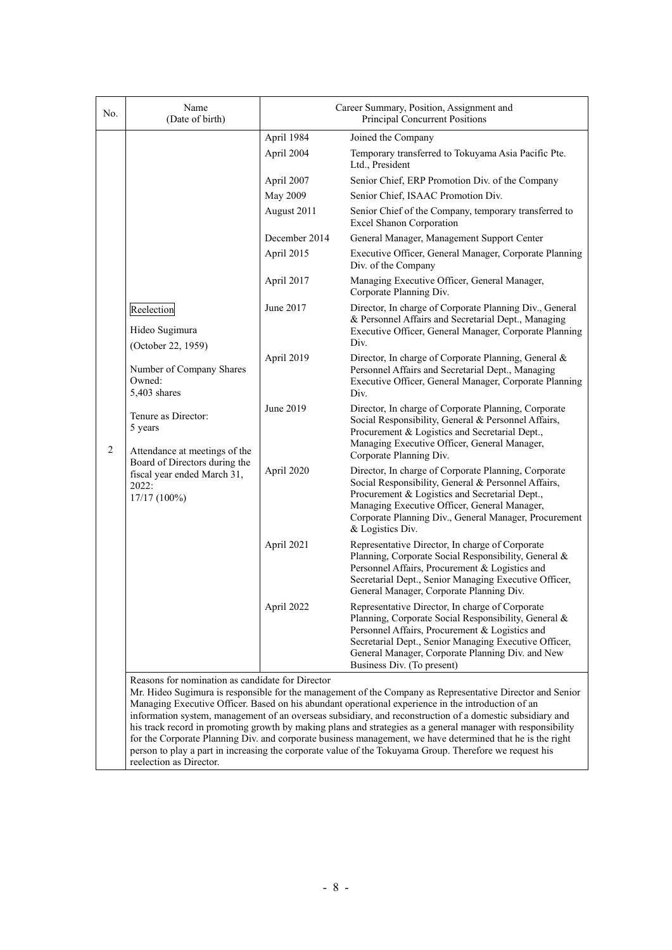| No.            | Name<br>(Date of birth)                                                                                                                                                                                        | Career Summary, Position, Assignment and<br>Principal Concurrent Positions |                                                                                                                                                                                                                                                                                                                                                                                                                                                                                                                                                                                                                                                                       |  |  |  |
|----------------|----------------------------------------------------------------------------------------------------------------------------------------------------------------------------------------------------------------|----------------------------------------------------------------------------|-----------------------------------------------------------------------------------------------------------------------------------------------------------------------------------------------------------------------------------------------------------------------------------------------------------------------------------------------------------------------------------------------------------------------------------------------------------------------------------------------------------------------------------------------------------------------------------------------------------------------------------------------------------------------|--|--|--|
|                |                                                                                                                                                                                                                | April 1984                                                                 | Joined the Company                                                                                                                                                                                                                                                                                                                                                                                                                                                                                                                                                                                                                                                    |  |  |  |
|                |                                                                                                                                                                                                                | April 2004                                                                 | Temporary transferred to Tokuyama Asia Pacific Pte.<br>Ltd., President                                                                                                                                                                                                                                                                                                                                                                                                                                                                                                                                                                                                |  |  |  |
|                |                                                                                                                                                                                                                | April 2007                                                                 | Senior Chief, ERP Promotion Div. of the Company                                                                                                                                                                                                                                                                                                                                                                                                                                                                                                                                                                                                                       |  |  |  |
|                |                                                                                                                                                                                                                | May 2009                                                                   | Senior Chief, ISAAC Promotion Div.                                                                                                                                                                                                                                                                                                                                                                                                                                                                                                                                                                                                                                    |  |  |  |
|                |                                                                                                                                                                                                                | August 2011                                                                | Senior Chief of the Company, temporary transferred to<br><b>Excel Shanon Corporation</b>                                                                                                                                                                                                                                                                                                                                                                                                                                                                                                                                                                              |  |  |  |
|                |                                                                                                                                                                                                                | December 2014                                                              | General Manager, Management Support Center                                                                                                                                                                                                                                                                                                                                                                                                                                                                                                                                                                                                                            |  |  |  |
|                |                                                                                                                                                                                                                | April 2015                                                                 | Executive Officer, General Manager, Corporate Planning<br>Div. of the Company                                                                                                                                                                                                                                                                                                                                                                                                                                                                                                                                                                                         |  |  |  |
|                |                                                                                                                                                                                                                | April 2017                                                                 | Managing Executive Officer, General Manager,<br>Corporate Planning Div.                                                                                                                                                                                                                                                                                                                                                                                                                                                                                                                                                                                               |  |  |  |
|                | Reelection<br>Hideo Sugimura<br>(October 22, 1959)                                                                                                                                                             | June 2017                                                                  | Director, In charge of Corporate Planning Div., General<br>& Personnel Affairs and Secretarial Dept., Managing<br>Executive Officer, General Manager, Corporate Planning<br>Div.                                                                                                                                                                                                                                                                                                                                                                                                                                                                                      |  |  |  |
| $\overline{2}$ | Number of Company Shares<br>Owned:<br>5,403 shares<br>Tenure as Director:<br>5 years<br>Attendance at meetings of the<br>Board of Directors during the<br>fiscal year ended March 31,<br>2022:<br>17/17 (100%) | April 2019                                                                 | Director, In charge of Corporate Planning, General &<br>Personnel Affairs and Secretarial Dept., Managing<br>Executive Officer, General Manager, Corporate Planning<br>Div.                                                                                                                                                                                                                                                                                                                                                                                                                                                                                           |  |  |  |
|                |                                                                                                                                                                                                                | June 2019                                                                  | Director, In charge of Corporate Planning, Corporate<br>Social Responsibility, General & Personnel Affairs,<br>Procurement & Logistics and Secretarial Dept.,<br>Managing Executive Officer, General Manager,<br>Corporate Planning Div.                                                                                                                                                                                                                                                                                                                                                                                                                              |  |  |  |
|                |                                                                                                                                                                                                                | April 2020                                                                 | Director, In charge of Corporate Planning, Corporate<br>Social Responsibility, General & Personnel Affairs,<br>Procurement & Logistics and Secretarial Dept.,<br>Managing Executive Officer, General Manager,<br>Corporate Planning Div., General Manager, Procurement<br>& Logistics Div.                                                                                                                                                                                                                                                                                                                                                                            |  |  |  |
|                |                                                                                                                                                                                                                | April 2021                                                                 | Representative Director, In charge of Corporate<br>Planning, Corporate Social Responsibility, General &<br>Personnel Affairs, Procurement & Logistics and<br>Secretarial Dept., Senior Managing Executive Officer,<br>General Manager, Corporate Planning Div.                                                                                                                                                                                                                                                                                                                                                                                                        |  |  |  |
|                |                                                                                                                                                                                                                | April 2022                                                                 | Representative Director, In charge of Corporate<br>Planning, Corporate Social Responsibility, General &<br>Personnel Affairs, Procurement & Logistics and<br>Secretarial Dept., Senior Managing Executive Officer,<br>General Manager, Corporate Planning Div. and New<br>Business Div. (To present)                                                                                                                                                                                                                                                                                                                                                                  |  |  |  |
|                | Reasons for nomination as candidate for Director<br>reelection as Director                                                                                                                                     |                                                                            | Mr. Hideo Sugimura is responsible for the management of the Company as Representative Director and Senior<br>Managing Executive Officer. Based on his abundant operational experience in the introduction of an<br>information system, management of an overseas subsidiary, and reconstruction of a domestic subsidiary and<br>his track record in promoting growth by making plans and strategies as a general manager with responsibility<br>for the Corporate Planning Div. and corporate business management, we have determined that he is the right<br>person to play a part in increasing the corporate value of the Tokuyama Group. Therefore we request his |  |  |  |

reelection as Director.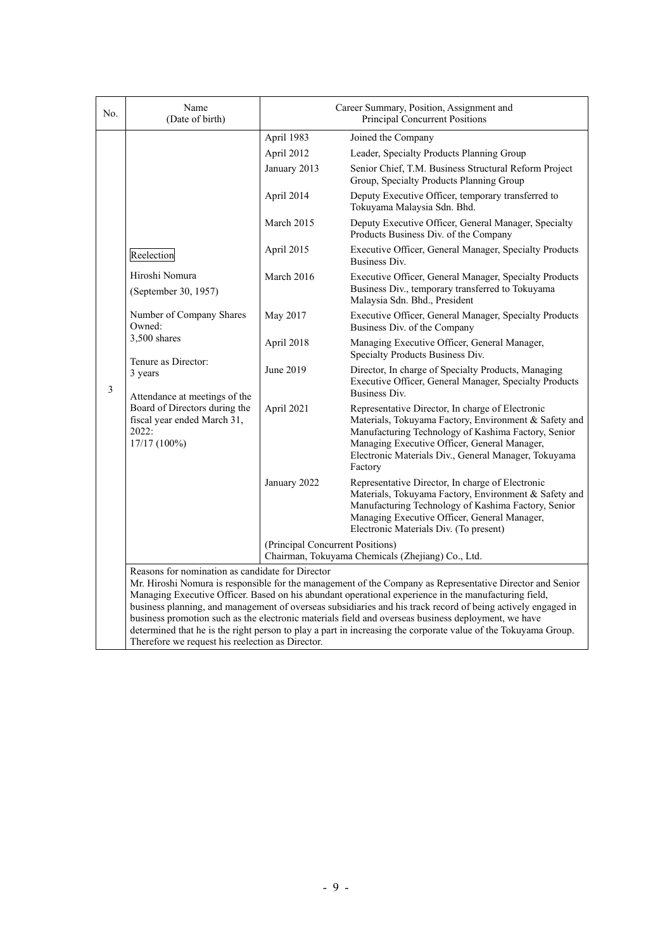| No. | Name<br>(Date of birth)                                                                                                                                                    | Career Summary, Position, Assignment and<br>Principal Concurrent Positions            |                                                                                                                                                                                                                                                                                                                                                                                                                                                                                                                                                            |  |  |
|-----|----------------------------------------------------------------------------------------------------------------------------------------------------------------------------|---------------------------------------------------------------------------------------|------------------------------------------------------------------------------------------------------------------------------------------------------------------------------------------------------------------------------------------------------------------------------------------------------------------------------------------------------------------------------------------------------------------------------------------------------------------------------------------------------------------------------------------------------------|--|--|
|     |                                                                                                                                                                            | April 1983                                                                            | Joined the Company                                                                                                                                                                                                                                                                                                                                                                                                                                                                                                                                         |  |  |
|     |                                                                                                                                                                            | April 2012                                                                            | Leader, Specialty Products Planning Group                                                                                                                                                                                                                                                                                                                                                                                                                                                                                                                  |  |  |
|     |                                                                                                                                                                            | January 2013                                                                          | Senior Chief, T.M. Business Structural Reform Project<br>Group, Specialty Products Planning Group                                                                                                                                                                                                                                                                                                                                                                                                                                                          |  |  |
|     |                                                                                                                                                                            | April 2014                                                                            | Deputy Executive Officer, temporary transferred to<br>Tokuyama Malaysia Sdn. Bhd.                                                                                                                                                                                                                                                                                                                                                                                                                                                                          |  |  |
|     |                                                                                                                                                                            | March 2015                                                                            | Deputy Executive Officer, General Manager, Specialty<br>Products Business Div. of the Company                                                                                                                                                                                                                                                                                                                                                                                                                                                              |  |  |
|     | Reelection                                                                                                                                                                 | April 2015                                                                            | Executive Officer, General Manager, Specialty Products<br>Business Div.                                                                                                                                                                                                                                                                                                                                                                                                                                                                                    |  |  |
|     | Hiroshi Nomura<br>(September 30, 1957)                                                                                                                                     | March 2016                                                                            | Executive Officer, General Manager, Specialty Products<br>Business Div., temporary transferred to Tokuyama<br>Malaysia Sdn. Bhd., President                                                                                                                                                                                                                                                                                                                                                                                                                |  |  |
|     | Number of Company Shares<br>Owned:                                                                                                                                         | May 2017                                                                              | Executive Officer, General Manager, Specialty Products<br>Business Div. of the Company                                                                                                                                                                                                                                                                                                                                                                                                                                                                     |  |  |
|     | 3,500 shares<br>Tenure as Director:<br>3 years<br>Attendance at meetings of the<br>Board of Directors during the<br>fiscal year ended March 31,<br>2022:<br>$17/17(100\%)$ | April 2018                                                                            | Managing Executive Officer, General Manager,<br>Specialty Products Business Div.                                                                                                                                                                                                                                                                                                                                                                                                                                                                           |  |  |
| 3   |                                                                                                                                                                            | June 2019                                                                             | Director, In charge of Specialty Products, Managing<br>Executive Officer, General Manager, Specialty Products<br>Business Div.                                                                                                                                                                                                                                                                                                                                                                                                                             |  |  |
|     |                                                                                                                                                                            | April 2021                                                                            | Representative Director, In charge of Electronic<br>Materials, Tokuyama Factory, Environment & Safety and<br>Manufacturing Technology of Kashima Factory, Senior<br>Managing Executive Officer, General Manager,<br>Electronic Materials Div., General Manager, Tokuyama<br>Factory                                                                                                                                                                                                                                                                        |  |  |
|     |                                                                                                                                                                            | January 2022                                                                          | Representative Director, In charge of Electronic<br>Materials, Tokuyama Factory, Environment & Safety and<br>Manufacturing Technology of Kashima Factory, Senior<br>Managing Executive Officer, General Manager,<br>Electronic Materials Div. (To present)                                                                                                                                                                                                                                                                                                 |  |  |
|     |                                                                                                                                                                            | (Principal Concurrent Positions)<br>Chairman, Tokuyama Chemicals (Zhejiang) Co., Ltd. |                                                                                                                                                                                                                                                                                                                                                                                                                                                                                                                                                            |  |  |
|     | Reasons for nomination as candidate for Director<br>Therefore we request his reelection as Director.                                                                       |                                                                                       | Mr. Hiroshi Nomura is responsible for the management of the Company as Representative Director and Senior<br>Managing Executive Officer. Based on his abundant operational experience in the manufacturing field,<br>business planning, and management of overseas subsidiaries and his track record of being actively engaged in<br>business promotion such as the electronic materials field and overseas business deployment, we have<br>determined that he is the right person to play a part in increasing the corporate value of the Tokuyama Group. |  |  |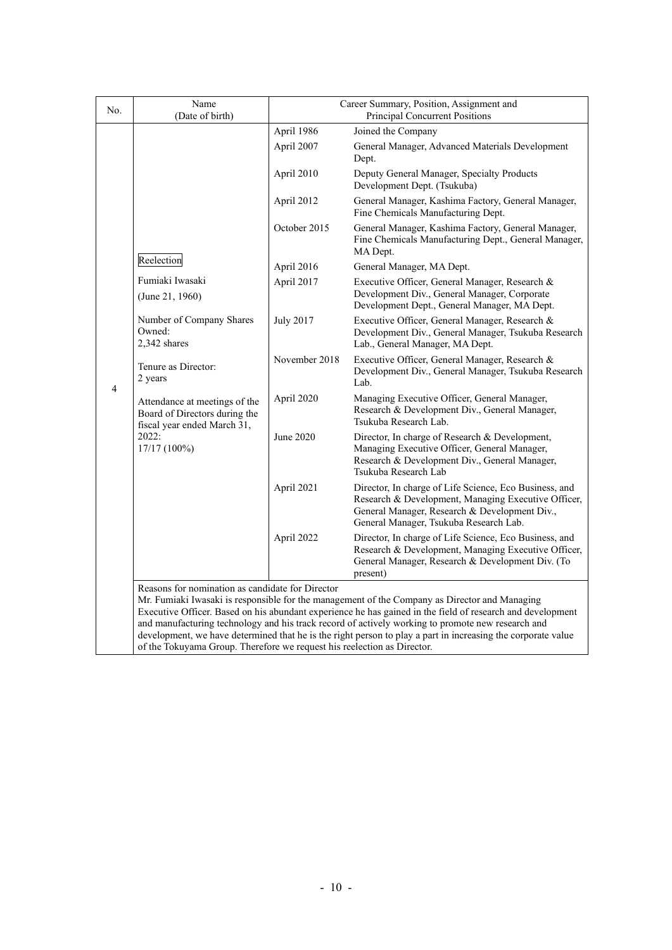| N <sub>0</sub> | Name<br>(Date of birth)                                                                                                                                                                                        | Career Summary, Position, Assignment and<br>Principal Concurrent Positions |                                                                                                                                                                                                                                                                                                                                                                                                                                  |  |  |  |  |
|----------------|----------------------------------------------------------------------------------------------------------------------------------------------------------------------------------------------------------------|----------------------------------------------------------------------------|----------------------------------------------------------------------------------------------------------------------------------------------------------------------------------------------------------------------------------------------------------------------------------------------------------------------------------------------------------------------------------------------------------------------------------|--|--|--|--|
|                |                                                                                                                                                                                                                | April 1986                                                                 | Joined the Company                                                                                                                                                                                                                                                                                                                                                                                                               |  |  |  |  |
|                |                                                                                                                                                                                                                | April 2007                                                                 | General Manager, Advanced Materials Development<br>Dept.                                                                                                                                                                                                                                                                                                                                                                         |  |  |  |  |
|                |                                                                                                                                                                                                                | April 2010                                                                 | Deputy General Manager, Specialty Products<br>Development Dept. (Tsukuba)                                                                                                                                                                                                                                                                                                                                                        |  |  |  |  |
|                |                                                                                                                                                                                                                | April 2012                                                                 | General Manager, Kashima Factory, General Manager,<br>Fine Chemicals Manufacturing Dept.                                                                                                                                                                                                                                                                                                                                         |  |  |  |  |
|                |                                                                                                                                                                                                                | October 2015                                                               | General Manager, Kashima Factory, General Manager,<br>Fine Chemicals Manufacturing Dept., General Manager,<br>MA Dept.                                                                                                                                                                                                                                                                                                           |  |  |  |  |
|                | Reelection                                                                                                                                                                                                     | April 2016                                                                 | General Manager, MA Dept.                                                                                                                                                                                                                                                                                                                                                                                                        |  |  |  |  |
|                | Fumiaki Iwasaki<br>(June 21, 1960)                                                                                                                                                                             | April 2017                                                                 | Executive Officer, General Manager, Research &<br>Development Div., General Manager, Corporate<br>Development Dept., General Manager, MA Dept.                                                                                                                                                                                                                                                                                   |  |  |  |  |
| $\overline{4}$ | Number of Company Shares<br>Owned:<br>2,342 shares<br>Tenure as Director:<br>2 years<br>Attendance at meetings of the<br>Board of Directors during the<br>fiscal year ended March 31,<br>2022:<br>17/17 (100%) | <b>July 2017</b>                                                           | Executive Officer, General Manager, Research &<br>Development Div., General Manager, Tsukuba Research<br>Lab., General Manager, MA Dept.                                                                                                                                                                                                                                                                                         |  |  |  |  |
|                |                                                                                                                                                                                                                | November 2018                                                              | Executive Officer, General Manager, Research &<br>Development Div., General Manager, Tsukuba Research<br>Lab.                                                                                                                                                                                                                                                                                                                    |  |  |  |  |
|                |                                                                                                                                                                                                                | April 2020                                                                 | Managing Executive Officer, General Manager,<br>Research & Development Div., General Manager,<br>Tsukuba Research Lab.                                                                                                                                                                                                                                                                                                           |  |  |  |  |
|                |                                                                                                                                                                                                                | June 2020                                                                  | Director, In charge of Research & Development,<br>Managing Executive Officer, General Manager,<br>Research & Development Div., General Manager,<br>Tsukuba Research Lab                                                                                                                                                                                                                                                          |  |  |  |  |
|                |                                                                                                                                                                                                                | April 2021                                                                 | Director, In charge of Life Science, Eco Business, and<br>Research & Development, Managing Executive Officer,<br>General Manager, Research & Development Div.,<br>General Manager, Tsukuba Research Lab.                                                                                                                                                                                                                         |  |  |  |  |
|                |                                                                                                                                                                                                                | April 2022                                                                 | Director, In charge of Life Science, Eco Business, and<br>Research & Development, Managing Executive Officer,<br>General Manager, Research & Development Div. (To<br>present)                                                                                                                                                                                                                                                    |  |  |  |  |
|                | Reasons for nomination as candidate for Director<br>of the Tokuyama Group. Therefore we request his reelection as Director.                                                                                    |                                                                            | Mr. Fumiaki Iwasaki is responsible for the management of the Company as Director and Managing<br>Executive Officer. Based on his abundant experience he has gained in the field of research and development<br>and manufacturing technology and his track record of actively working to promote new research and<br>development, we have determined that he is the right person to play a part in increasing the corporate value |  |  |  |  |